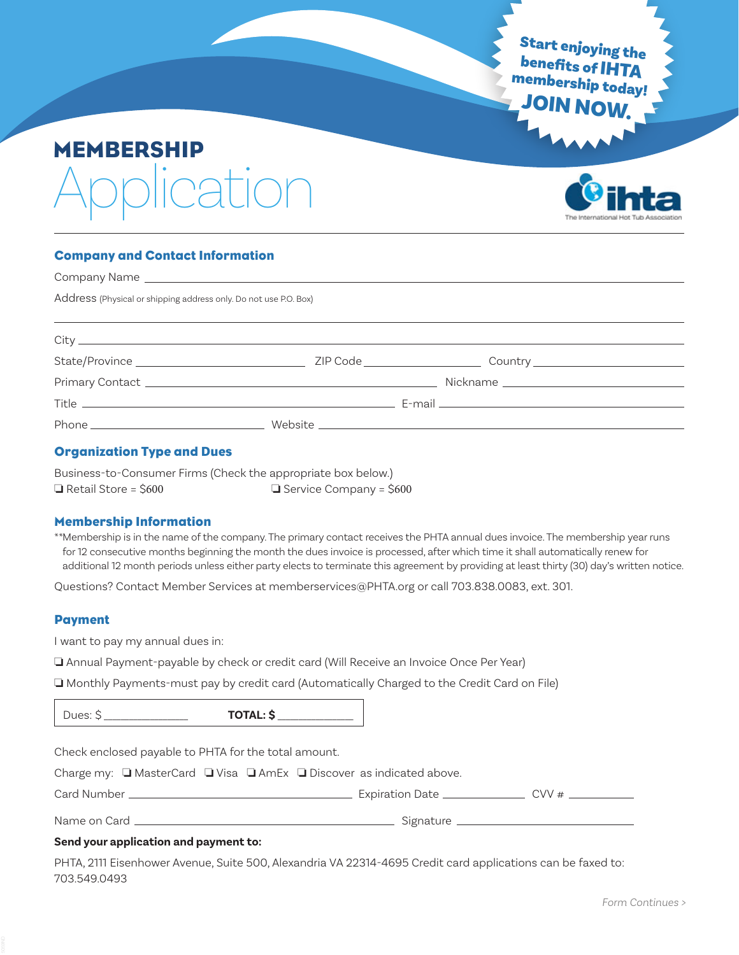Start enjoying the membership today! JOIN NOW.

# MEMBERSHIP ration



# Company and Contact Information

| Address (Physical or shipping address only. Do not use P.O. Box) |  |  |  |
|------------------------------------------------------------------|--|--|--|
|                                                                  |  |  |  |
|                                                                  |  |  |  |
|                                                                  |  |  |  |
|                                                                  |  |  |  |
|                                                                  |  |  |  |
|                                                                  |  |  |  |
|                                                                  |  |  |  |

## Organization Type and Dues

Business-to-Consumer Firms (Check the appropriate box below.)  $\Box$  Retail Store = \$600  $\Box$  Service Company = \$600

#### Membership Information

\*\*Membership is in the name of the company. The primary contact receives the PHTA annual dues invoice. The membership year runs for 12 consecutive months beginning the month the dues invoice is processed, after which time it shall automatically renew for additional 12 month periods unless either party elects to terminate this agreement by providing at least thirty (30) day's written notice.

Questions? Contact Member Services at memberservices@PHTA.org or call 703.838.0083, ext. 301.

#### Payment

I want to pay my annual dues in:

I Annual Payment-payable by check or credit card (Will Receive an Invoice Once Per Year)

o Monthly Payments-must pay by credit card (Automatically Charged to the Credit Card on File)

Dues: \$ \_\_\_\_\_\_\_\_\_\_\_\_\_\_\_\_\_\_\_\_ **TOTAL: \$** \_\_\_\_\_\_\_\_\_\_\_\_\_\_\_\_\_\_

Check enclosed payable to PHTA for the total amount.

Charge my:  $\Box$  MasterCard  $\Box$  Visa  $\Box$  AmEx  $\Box$  Discover as indicated above.

Card Number Expiration Date CVV #

Name on Card Signature

## **Send your application and payment to:**

PHTA, 2111 Eisenhower Avenue, Suite 500, Alexandria VA 22314-4695 Credit card applications can be faxed to: 703.549.0493